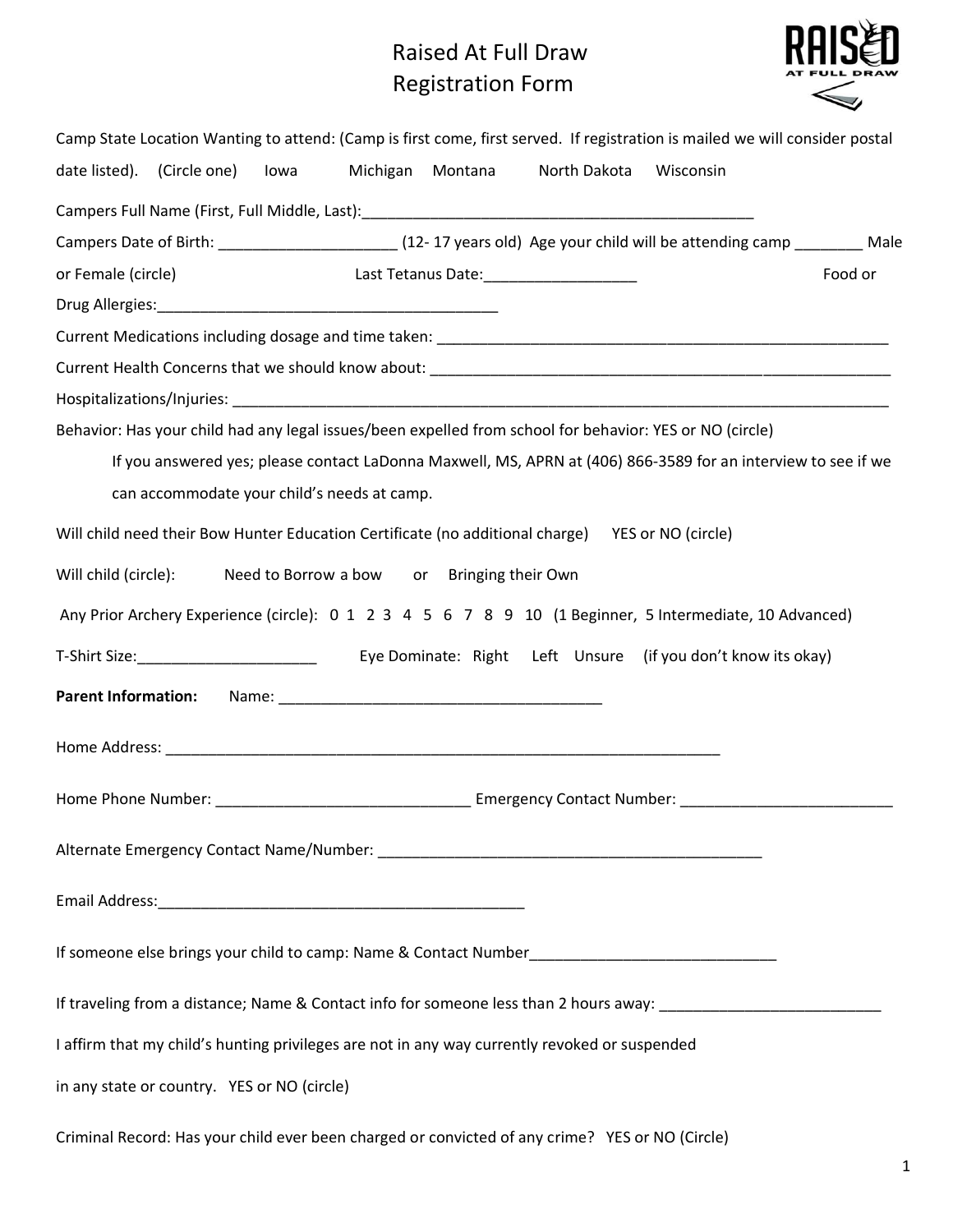## Raised At Full Draw Registration Form



| Camp State Location Wanting to attend: (Camp is first come, first served. If registration is mailed we will consider postal |
|-----------------------------------------------------------------------------------------------------------------------------|
| date listed). (Circle one) Iowa Michigan Montana North Dakota<br>Wisconsin                                                  |
|                                                                                                                             |
| Campers Date of Birth: __________________________(12-17 years old) Age your child will be attending camp _________ Male     |
| or Female (circle)<br>Last Tetanus Date: 1997<br>Food or                                                                    |
|                                                                                                                             |
|                                                                                                                             |
|                                                                                                                             |
|                                                                                                                             |
| Behavior: Has your child had any legal issues/been expelled from school for behavior: YES or NO (circle)                    |
| If you answered yes; please contact LaDonna Maxwell, MS, APRN at (406) 866-3589 for an interview to see if we               |
| can accommodate your child's needs at camp.                                                                                 |
| Will child need their Bow Hunter Education Certificate (no additional charge) YES or NO (circle)                            |
| Will child (circle):                                                                                                        |
| Need to Borrow a bow or Bringing their Own                                                                                  |
| Any Prior Archery Experience (circle): 0 1 2 3 4 5 6 7 8 9 10 (1 Beginner, 5 Intermediate, 10 Advanced)                     |
| T-Shirt Size: 1992 [13] Eye Dominate: Right Left Unsure (if you don't know its okay)                                        |
| <b>Parent Information:</b>                                                                                                  |
|                                                                                                                             |
|                                                                                                                             |
|                                                                                                                             |
|                                                                                                                             |
|                                                                                                                             |
|                                                                                                                             |
|                                                                                                                             |
|                                                                                                                             |
|                                                                                                                             |
| If traveling from a distance; Name & Contact info for someone less than 2 hours away: ________________________              |
| I affirm that my child's hunting privileges are not in any way currently revoked or suspended                               |
| in any state or country. YES or NO (circle)                                                                                 |
|                                                                                                                             |

Criminal Record: Has your child ever been charged or convicted of any crime? YES or NO (Circle)